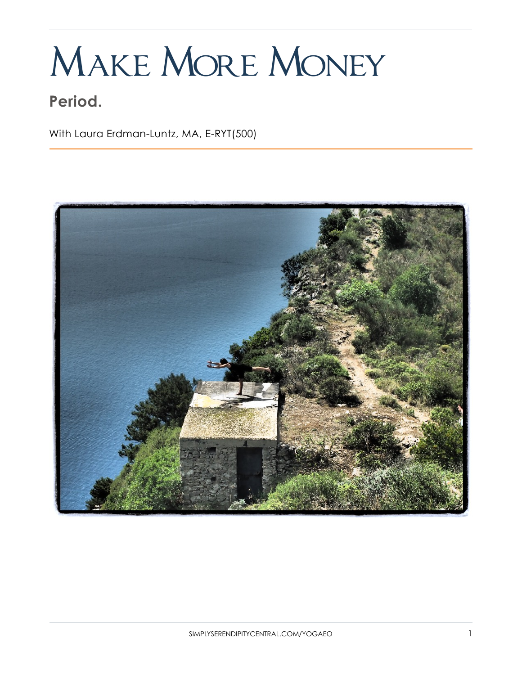# Make More Money

## **Period.**

With Laura Erdman-Luntz, MA, E-RYT(500)

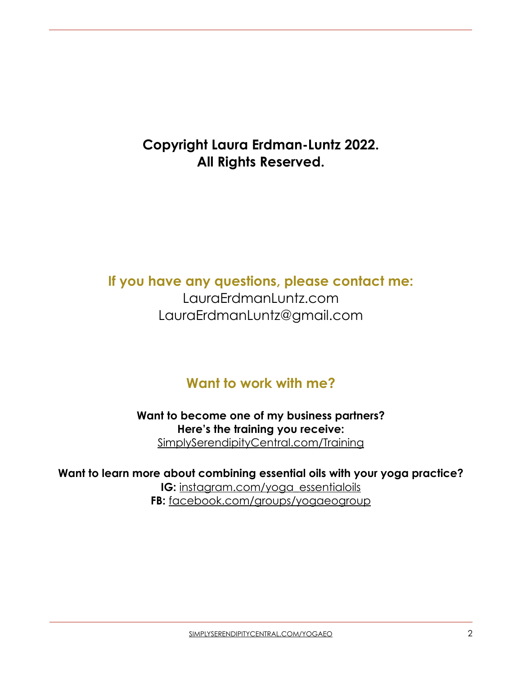## **Copyright Laura Erdman-Luntz 2022. All Rights Reserved.**

## **If you have any questions, please contact me:**

LauraErdmanLuntz.com LauraErdmanLuntz@gmail.com

## **Want to work with me?**

**Want to become one of my business partners? Here's the training you receive:**  [SimplySerendipityCentral.com/Training](http://SimplySerendipityCentral.com/Training)

**Want to learn more about combining essential oils with your yoga practice? IG:** [instagram.com/yoga\\_essentialoils](http://instagram.com/yoga_essentialoils) **FB:** [facebook.com/groups/yogaeogroup](http://facebook.com/groups/yogaeogroup)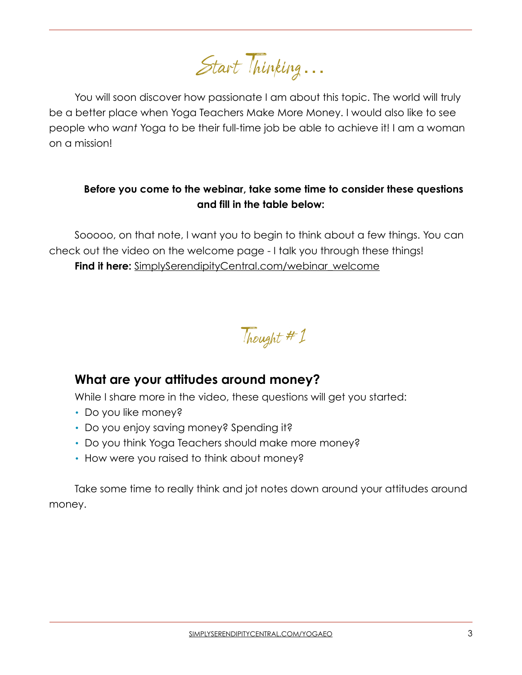Start Thinking…

You will soon discover how passionate I am about this topic. The world will truly be a better place when Yoga Teachers Make More Money. I would also like to see people who *want* Yoga to be their full-time job be able to achieve it! I am a woman on a mission!

#### **Before you come to the webinar, take some time to consider these questions and fill in the table below:**

Sooooo, on that note, I want you to begin to think about a few things. You can check out the video on the welcome page - I talk you through these things! **Find it here:** [SimplySerendipityCentral.com/webinar\\_welcome](http://SimplySerendipityCentral.com/webinar_welcome)

Thought #1

#### **What are your attitudes around money?**

While I share more in the video, these questions will get you started:

- Do you like money?
- Do you enjoy saving money? Spending it?
- Do you think Yoga Teachers should make more money?
- How were you raised to think about money?

Take some time to really think and jot notes down around your attitudes around money.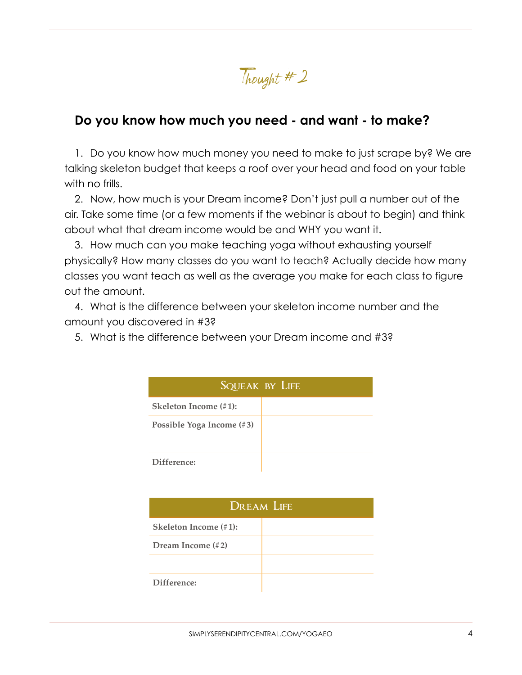Thought #2

#### **Do you know how much you need - and want - to make?**

1. Do you know how much money you need to make to just scrape by? We are talking skeleton budget that keeps a roof over your head and food on your table with no frills.

2. Now, how much is your Dream income? Don't just pull a number out of the air. Take some time (or a few moments if the webinar is about to begin) and think about what that dream income would be and WHY you want it.

3. How much can you make teaching yoga without exhausting yourself physically? How many classes do you want to teach? Actually decide how many classes you want teach as well as the average you make for each class to figure out the amount.

4. What is the difference between your skeleton income number and the amount you discovered in #3?

5. What is the difference between your Dream income and #3?

| SQUEAK BY LIFE            |  |  |
|---------------------------|--|--|
| Skeleton Income (#1):     |  |  |
| Possible Yoga Income (#3) |  |  |
|                           |  |  |
| Difference:               |  |  |

| <b>DREAM LIFE</b>            |  |  |
|------------------------------|--|--|
| <b>Skeleton Income (#1):</b> |  |  |
| Dream Income $(\# 2)$        |  |  |
|                              |  |  |
| Difference:                  |  |  |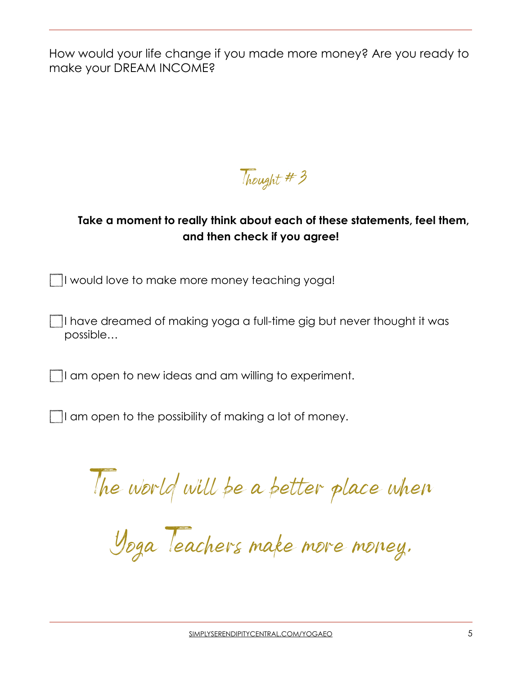How would your life change if you made more money? Are you ready to make your DREAM INCOME?

Thought # 3

#### **Take a moment to really think about each of these statements, feel them, and then check if you agree!**

I would love to make more money teaching yoga!

I have dreamed of making yoga a full-time gig but never thought it was possible…

If am open to new ideas and am willing to experiment.

I am open to the possibility of making a lot of money.

The world will be a better place when

Yoga Teachers make more money.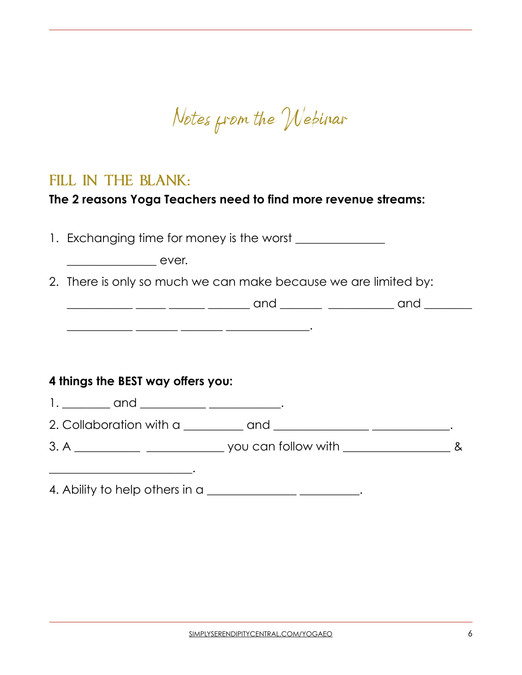Notes from the Webinar

### FILL IN THE BLANK:

#### **The 2 reasons Yoga Teachers need to find more revenue streams:**

1. Exchanging time for money is the worst

\_\_\_\_\_\_\_\_\_\_\_ \_\_\_\_\_\_\_ \_\_\_\_\_\_\_ \_\_\_\_\_\_\_\_\_\_\_\_\_\_.

ever.

2. There is only so much we can make because we are limited by:

#### **4 things the BEST way offers you:**

\_\_\_\_\_\_\_\_\_\_\_\_\_\_\_\_\_\_\_\_\_\_\_\_.

- 1. \_\_\_\_\_\_\_\_ and \_\_\_\_\_\_\_\_\_\_\_\_\_\_\_\_\_\_\_\_\_\_\_.
- 2. Collaboration with a \_\_\_\_\_\_\_\_\_\_ and \_\_\_\_\_\_\_\_\_\_\_\_\_\_\_\_ \_\_\_\_\_\_\_\_\_\_\_\_\_.
- 3. A \_\_\_\_\_\_\_\_\_\_\_ \_\_\_\_\_\_\_\_\_\_\_\_\_ you can follow with \_\_\_\_\_\_\_\_\_\_\_\_\_\_\_\_\_\_ &

4. Ability to help others in a \_\_\_\_\_\_\_\_\_\_\_\_\_\_\_\_\_\_\_\_\_\_\_\_\_\_.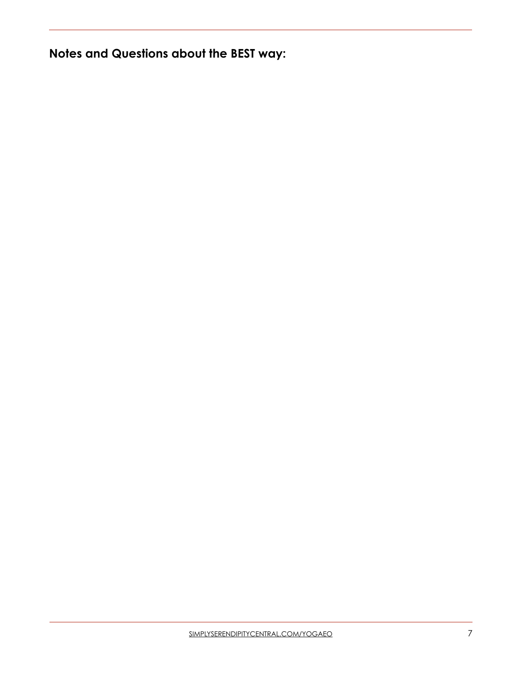**Notes and Questions about the BEST way:**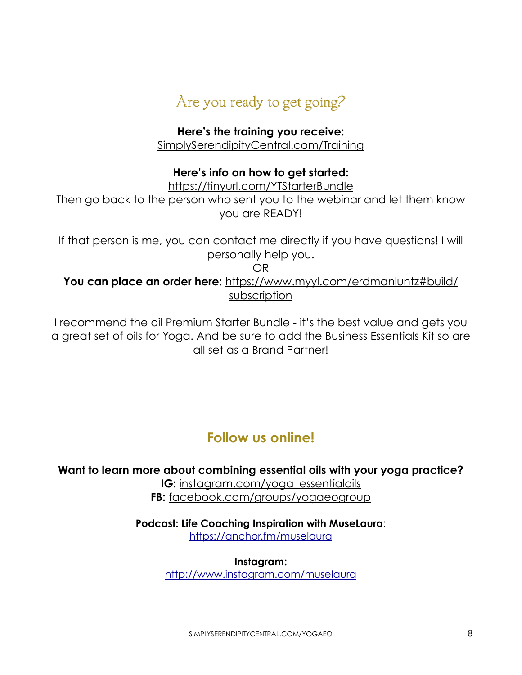

**Here's the training you receive:**  [SimplySerendipityCentral.com/Training](http://SimplySerendipityCentral.com/Training)

#### **Here's info on how to get started:**

<https://tinyurl.com/YTStarterBundle>

Then go back to the person who sent you to the webinar and let them know you are READY!

If that person is me, you can contact me directly if you have questions! I will personally help you.

OR

**You can place an order here:** [https://www.myyl.com/erdmanluntz#build/](https://www.myyl.com/erdmanluntz#build/subscription) [subscription](https://www.myyl.com/erdmanluntz#build/subscription)

I recommend the oil Premium Starter Bundle - it's the best value and gets you a great set of oils for Yoga. And be sure to add the Business Essentials Kit so are all set as a Brand Partner!

## **Follow us online!**

**Want to learn more about combining essential oils with your yoga practice? IG:** [instagram.com/yoga\\_essentialoils](http://instagram.com/yoga_essentialoils) **FB:** [facebook.com/groups/yogaeogroup](http://facebook.com/groups/yogaeogroup)

> **Podcast: Life Coaching Inspiration with MuseLaura**: <https://anchor.fm/muselaura>

> > **Instagram:**

<http://www.instagram.com/muselaura>